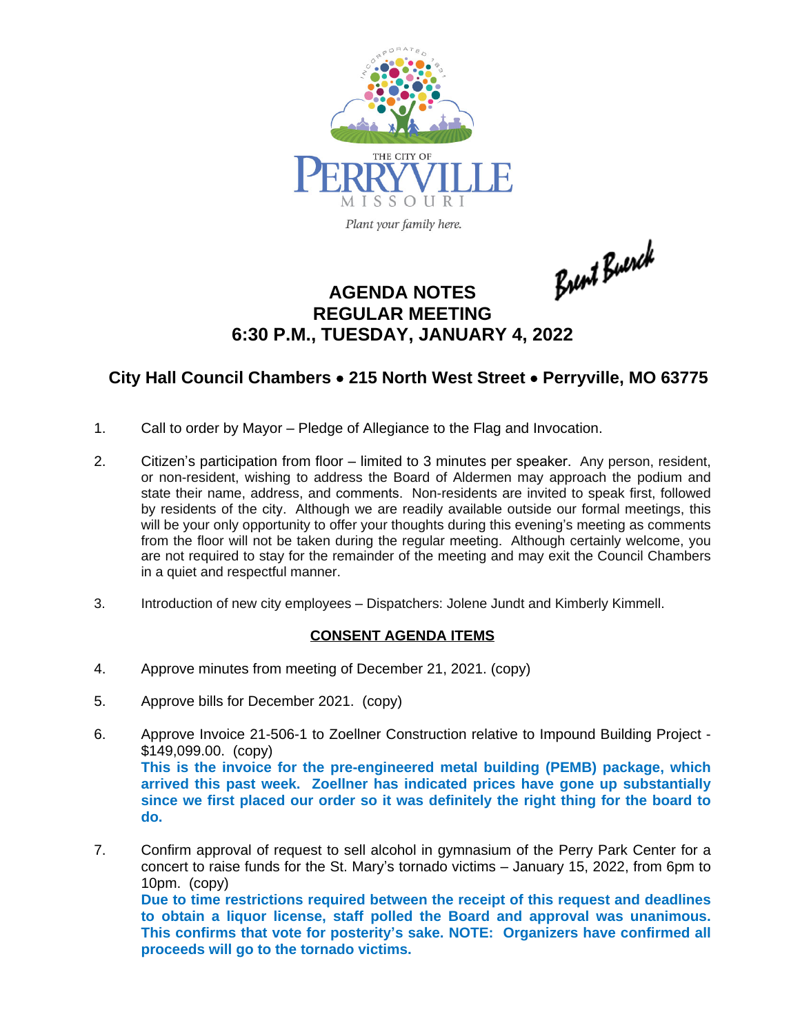

Plant your family here.

Brent Buerck

## **AGENDA NOTES REGULAR MEETING 6:30 P.M., TUESDAY, JANUARY 4, 2022**

## **City Hall Council Chambers** · **215 North West Street** · **Perryville, MO 63775**

- 1. Call to order by Mayor Pledge of Allegiance to the Flag and Invocation.
- 2. Citizen's participation from floor limited to 3 minutes per speaker. Any person, resident, or non-resident, wishing to address the Board of Aldermen may approach the podium and state their name, address, and comments. Non-residents are invited to speak first, followed by residents of the city. Although we are readily available outside our formal meetings, this will be your only opportunity to offer your thoughts during this evening's meeting as comments from the floor will not be taken during the regular meeting. Although certainly welcome, you are not required to stay for the remainder of the meeting and may exit the Council Chambers in a quiet and respectful manner.
- 3. Introduction of new city employees Dispatchers: Jolene Jundt and Kimberly Kimmell.

## **CONSENT AGENDA ITEMS**

- 4. Approve minutes from meeting of December 21, 2021. (copy)
- 5. Approve bills for December 2021. (copy)
- 6. Approve Invoice 21-506-1 to Zoellner Construction relative to Impound Building Project \$149,099.00. (copy) **This is the invoice for the pre-engineered metal building (PEMB) package, which arrived this past week. Zoellner has indicated prices have gone up substantially since we first placed our order so it was definitely the right thing for the board to do.**
- 7. Confirm approval of request to sell alcohol in gymnasium of the Perry Park Center for a concert to raise funds for the St. Mary's tornado victims – January 15, 2022, from 6pm to 10pm. (copy) **Due to time restrictions required between the receipt of this request and deadlines to obtain a liquor license, staff polled the Board and approval was unanimous. This confirms that vote for posterity's sake. NOTE: Organizers have confirmed all proceeds will go to the tornado victims.**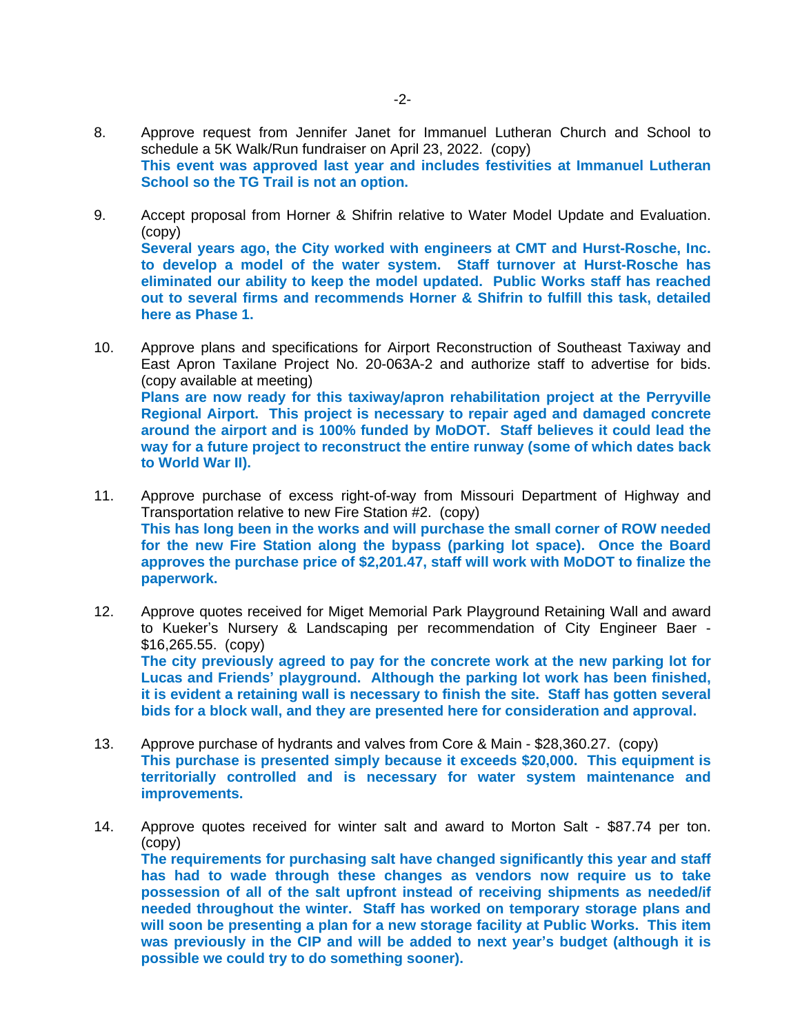- 8. Approve request from Jennifer Janet for Immanuel Lutheran Church and School to schedule a 5K Walk/Run fundraiser on April 23, 2022. (copy) **This event was approved last year and includes festivities at Immanuel Lutheran School so the TG Trail is not an option.**
- 9. Accept proposal from Horner & Shifrin relative to Water Model Update and Evaluation. (copy) **Several years ago, the City worked with engineers at CMT and Hurst-Rosche, Inc. to develop a model of the water system. Staff turnover at Hurst-Rosche has eliminated our ability to keep the model updated. Public Works staff has reached out to several firms and recommends Horner & Shifrin to fulfill this task, detailed here as Phase 1.**
- 10. Approve plans and specifications for Airport Reconstruction of Southeast Taxiway and East Apron Taxilane Project No. 20-063A-2 and authorize staff to advertise for bids. (copy available at meeting) **Plans are now ready for this taxiway/apron rehabilitation project at the Perryville Regional Airport. This project is necessary to repair aged and damaged concrete around the airport and is 100% funded by MoDOT. Staff believes it could lead the way for a future project to reconstruct the entire runway (some of which dates back to World War II).**
- 11. Approve purchase of excess right-of-way from Missouri Department of Highway and Transportation relative to new Fire Station #2. (copy) **This has long been in the works and will purchase the small corner of ROW needed for the new Fire Station along the bypass (parking lot space). Once the Board approves the purchase price of \$2,201.47, staff will work with MoDOT to finalize the paperwork.**
- 12. Approve quotes received for Miget Memorial Park Playground Retaining Wall and award to Kueker's Nursery & Landscaping per recommendation of City Engineer Baer - \$16,265.55. (copy) **The city previously agreed to pay for the concrete work at the new parking lot for Lucas and Friends' playground. Although the parking lot work has been finished, it is evident a retaining wall is necessary to finish the site. Staff has gotten several bids for a block wall, and they are presented here for consideration and approval.**
- 13. Approve purchase of hydrants and valves from Core & Main \$28,360.27. (copy) **This purchase is presented simply because it exceeds \$20,000. This equipment is territorially controlled and is necessary for water system maintenance and improvements.**
- 14. Approve quotes received for winter salt and award to Morton Salt \$87.74 per ton. (copy) **The requirements for purchasing salt have changed significantly this year and staff has had to wade through these changes as vendors now require us to take possession of all of the salt upfront instead of receiving shipments as needed/if needed throughout the winter. Staff has worked on temporary storage plans and will soon be presenting a plan for a new storage facility at Public Works. This item was previously in the CIP and will be added to next year's budget (although it is possible we could try to do something sooner).**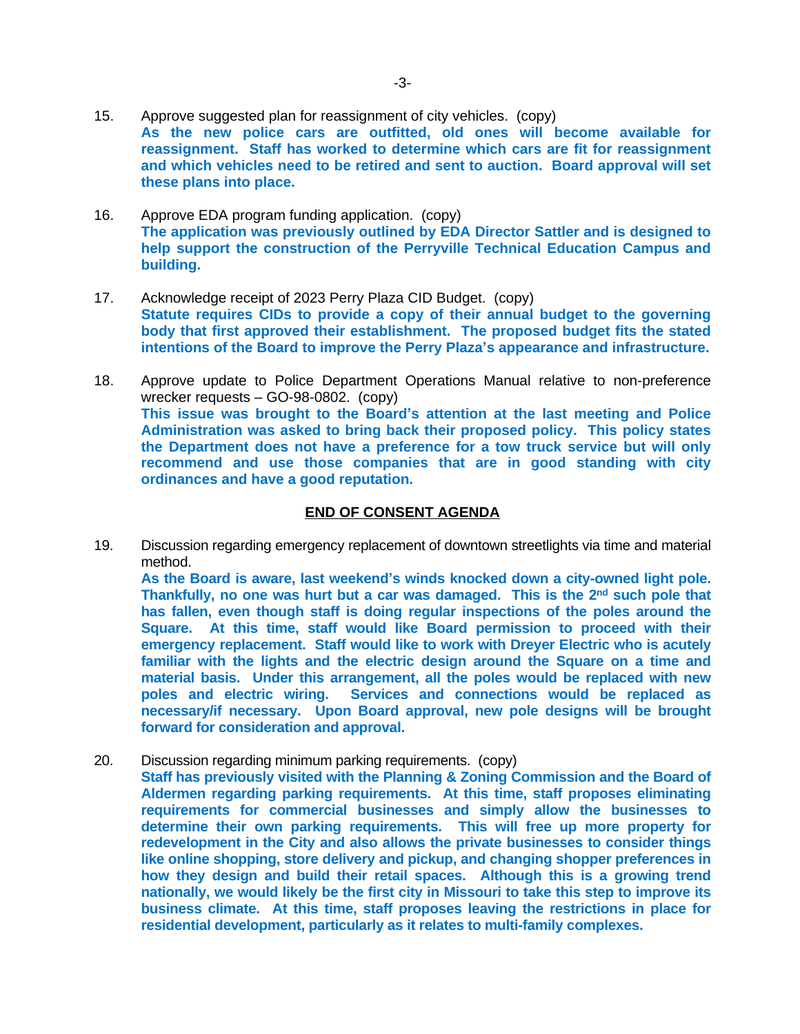- 15. Approve suggested plan for reassignment of city vehicles. (copy) **As the new police cars are outfitted, old ones will become available for reassignment. Staff has worked to determine which cars are fit for reassignment and which vehicles need to be retired and sent to auction. Board approval will set these plans into place.**
- 16. Approve EDA program funding application. (copy) **The application was previously outlined by EDA Director Sattler and is designed to help support the construction of the Perryville Technical Education Campus and building.**
- 17. Acknowledge receipt of 2023 Perry Plaza CID Budget. (copy) **Statute requires CIDs to provide a copy of their annual budget to the governing body that first approved their establishment. The proposed budget fits the stated intentions of the Board to improve the Perry Plaza's appearance and infrastructure.**
- 18. Approve update to Police Department Operations Manual relative to non-preference wrecker requests – GO-98-0802. (copy) **This issue was brought to the Board's attention at the last meeting and Police Administration was asked to bring back their proposed policy. This policy states the Department does not have a preference for a tow truck service but will only recommend and use those companies that are in good standing with city ordinances and have a good reputation.**

## **END OF CONSENT AGENDA**

19. Discussion regarding emergency replacement of downtown streetlights via time and material method.

**As the Board is aware, last weekend's winds knocked down a city-owned light pole. Thankfully, no one was hurt but a car was damaged. This is the 2 nd such pole that has fallen, even though staff is doing regular inspections of the poles around the Square. At this time, staff would like Board permission to proceed with their emergency replacement. Staff would like to work with Dreyer Electric who is acutely familiar with the lights and the electric design around the Square on a time and material basis. Under this arrangement, all the poles would be replaced with new poles and electric wiring. Services and connections would be replaced as necessary/if necessary. Upon Board approval, new pole designs will be brought forward for consideration and approval.**

20. Discussion regarding minimum parking requirements. (copy) **Staff has previously visited with the Planning & Zoning Commission and the Board of Aldermen regarding parking requirements. At this time, staff proposes eliminating requirements for commercial businesses and simply allow the businesses to determine their own parking requirements. This will free up more property for redevelopment in the City and also allows the private businesses to consider things like online shopping, store delivery and pickup, and changing shopper preferences in how they design and build their retail spaces. Although this is a growing trend nationally, we would likely be the first city in Missouri to take this step to improve its business climate. At this time, staff proposes leaving the restrictions in place for residential development, particularly as it relates to multi-family complexes.**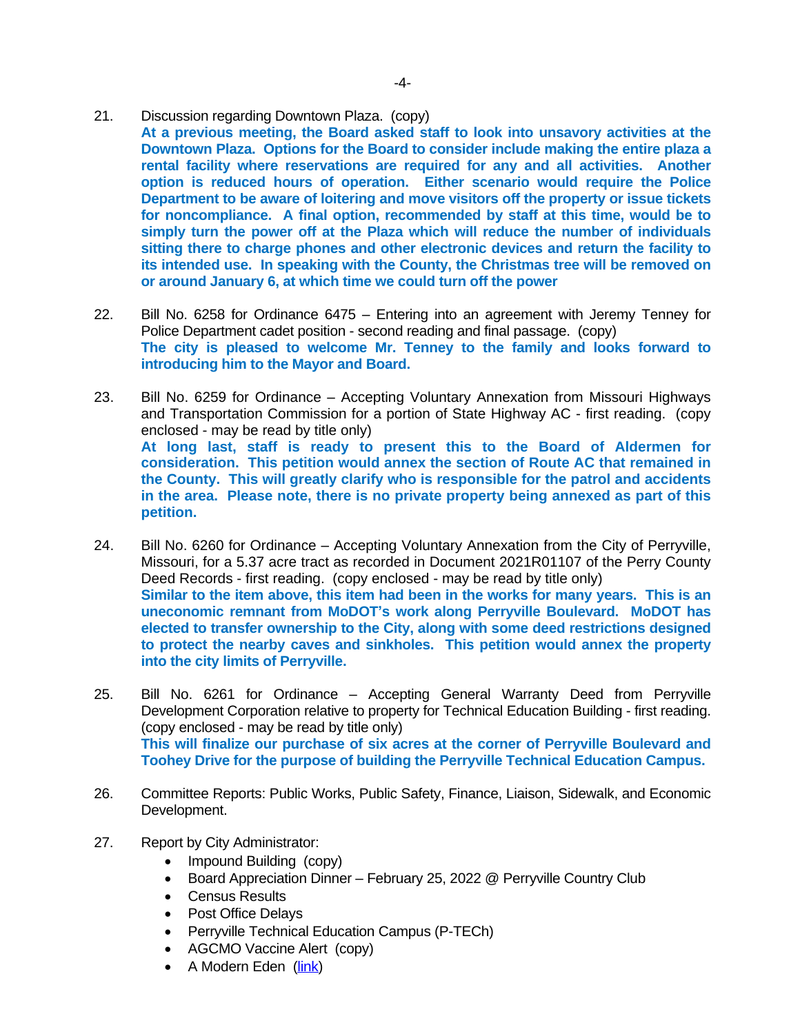- 21. Discussion regarding Downtown Plaza. (copy)
	- **At a previous meeting, the Board asked staff to look into unsavory activities at the Downtown Plaza. Options for the Board to consider include making the entire plaza a rental facility where reservations are required for any and all activities. Another option is reduced hours of operation. Either scenario would require the Police Department to be aware of loitering and move visitors off the property or issue tickets for noncompliance. A final option, recommended by staff at this time, would be to simply turn the power off at the Plaza which will reduce the number of individuals sitting there to charge phones and other electronic devices and return the facility to its intended use. In speaking with the County, the Christmas tree will be removed on or around January 6, at which time we could turn off the power**
- 22. Bill No. 6258 for Ordinance 6475 Entering into an agreement with Jeremy Tenney for Police Department cadet position - second reading and final passage. (copy) **The city is pleased to welcome Mr. Tenney to the family and looks forward to introducing him to the Mayor and Board.**
- 23. Bill No. 6259 for Ordinance Accepting Voluntary Annexation from Missouri Highways and Transportation Commission for a portion of State Highway AC - first reading. (copy enclosed - may be read by title only) **At long last, staff is ready to present this to the Board of Aldermen for consideration. This petition would annex the section of Route AC that remained in the County. This will greatly clarify who is responsible for the patrol and accidents in the area. Please note, there is no private property being annexed as part of this petition.**
- 24. Bill No. 6260 for Ordinance Accepting Voluntary Annexation from the City of Perryville, Missouri, for a 5.37 acre tract as recorded in Document 2021R01107 of the Perry County Deed Records - first reading. (copy enclosed - may be read by title only) **Similar to the item above, this item had been in the works for many years. This is an uneconomic remnant from MoDOT's work along Perryville Boulevard. MoDOT has elected to transfer ownership to the City, along with some deed restrictions designed to protect the nearby caves and sinkholes. This petition would annex the property into the city limits of Perryville.**
- 25. Bill No. 6261 for Ordinance Accepting General Warranty Deed from Perryville Development Corporation relative to property for Technical Education Building - first reading. (copy enclosed - may be read by title only) **This will finalize our purchase of six acres at the corner of Perryville Boulevard and Toohey Drive for the purpose of building the Perryville Technical Education Campus.**
- 26. Committee Reports: Public Works, Public Safety, Finance, Liaison, Sidewalk, and Economic Development.
- 27. Report by City Administrator:
	- Impound Building (copy)
	- Board Appreciation Dinner February 25, 2022 @ Perryville Country Club
	- Census Results
	- Post Office Delays
	- Perryville Technical Education Campus (P-TECh)
	- AGCMO Vaccine Alert (copy)
	- A Modern Eden ([link\)](https://cdm16795.contentdm.oclc.org/digital/collection/mocohist/id/4024)